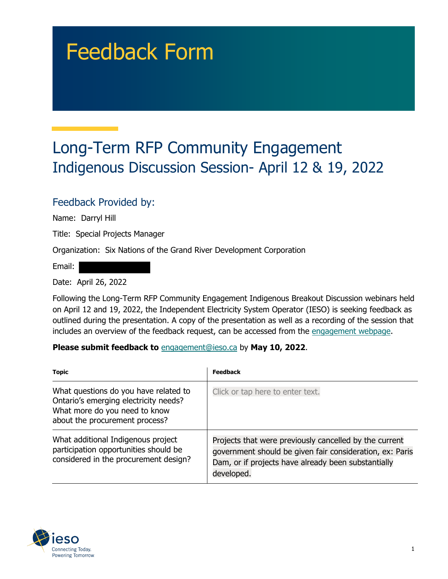# Feedback Form

## Long-Term RFP Community Engagement Indigenous Discussion Session- April 12 & 19, 2022

#### Feedback Provided by:

Name: Darryl Hill

Title: Special Projects Manager

Organization: Six Nations of the Grand River Development Corporation

Email:

Date: April 26, 2022

Following the Long-Term RFP Community Engagement Indigenous Breakout Discussion webinars held on April 12 and 19, 2022, the Independent Electricity System Operator (IESO) is seeking feedback as outlined during the presentation. A copy of the presentation as well as a recording of the session that includes an overview of the feedback request, can be accessed from the [engagement webpage.](https://www.ieso.ca/en/Sector-Participants/Engagement-Initiatives/Engagements/Long-Term-RFP-Community-Engagement)

#### **Please submit feedback to** engagement@ieso.ca by **May 10, 2022**.

| <b>Topic</b>                                                                                                                                      | Feedback                                                                                                                                                                                |
|---------------------------------------------------------------------------------------------------------------------------------------------------|-----------------------------------------------------------------------------------------------------------------------------------------------------------------------------------------|
| What questions do you have related to<br>Ontario's emerging electricity needs?<br>What more do you need to know<br>about the procurement process? | Click or tap here to enter text.                                                                                                                                                        |
| What additional Indigenous project<br>participation opportunities should be<br>considered in the procurement design?                              | Projects that were previously cancelled by the current<br>government should be given fair consideration, ex: Paris<br>Dam, or if projects have already been substantially<br>developed. |